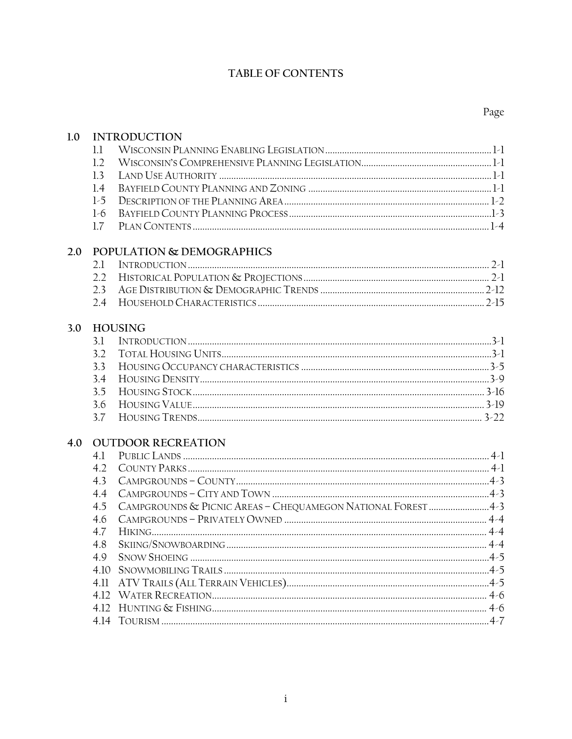### TABLE OF CONTENTS

| 1.0 |       | <b>INTRODUCTION</b>                                          |         |
|-----|-------|--------------------------------------------------------------|---------|
|     | 1.1   |                                                              |         |
|     | 1.2   |                                                              |         |
|     | 1.3   |                                                              |         |
|     | 1.4   |                                                              |         |
|     | $1-5$ |                                                              |         |
|     | $1-6$ |                                                              |         |
|     | 1.7   |                                                              |         |
| 2.0 |       | POPULATION & DEMOGRAPHICS                                    |         |
|     | 2.1   |                                                              |         |
|     | 2.2   |                                                              |         |
|     | 2.3   |                                                              |         |
|     | 2.4   |                                                              |         |
| 3.0 |       | <b>HOUSING</b>                                               |         |
|     | 3.1   |                                                              |         |
|     | 3.2   |                                                              |         |
|     | 3.3   |                                                              |         |
|     | 3.4   |                                                              |         |
|     | 3.5   |                                                              |         |
|     | 3.6   |                                                              |         |
|     | 3.7   |                                                              |         |
| 4.0 |       | <b>OUTDOOR RECREATION</b>                                    |         |
|     | 4.1   |                                                              |         |
|     | 4.2   |                                                              |         |
|     | 4.3   |                                                              |         |
|     | 4.4   |                                                              |         |
|     | 4.5   | CAMPGROUNDS & PICNIC AREAS - CHEQUAMEGON NATIONAL FOREST 4-3 |         |
|     | 4.6   |                                                              |         |
|     | 4.7   |                                                              |         |
|     | 48    | SKIING/SNOWBOARDING.                                         | $4 - 4$ |
|     | 4.9   |                                                              |         |
|     |       |                                                              |         |
|     | 4.11  |                                                              |         |
|     |       |                                                              |         |
|     |       |                                                              |         |
|     |       |                                                              |         |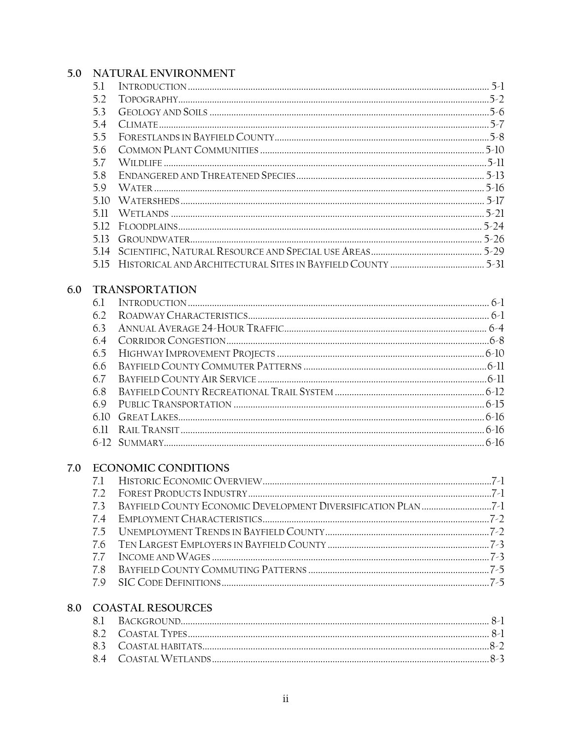## 5.0 NATURAL ENVIRONMENT

|     | 5.1  |                            |  |
|-----|------|----------------------------|--|
|     | 5.2  |                            |  |
|     | 5.3  |                            |  |
|     | 5.4  |                            |  |
|     | 5.5  |                            |  |
|     | 5.6  |                            |  |
|     | 5.7  |                            |  |
|     | 5.8  |                            |  |
|     | 5.9  |                            |  |
|     |      |                            |  |
|     |      |                            |  |
|     | 5.12 |                            |  |
|     |      |                            |  |
|     |      |                            |  |
|     |      |                            |  |
| 6.0 |      | <b>TRANSPORTATION</b>      |  |
|     | 6.1  |                            |  |
|     | 6.2  |                            |  |
|     | 6.3  |                            |  |
|     | 6.4  |                            |  |
|     | 6.5  |                            |  |
|     | 6.6  |                            |  |
|     | 6.7  |                            |  |
|     | 6.8  |                            |  |
|     | 6.9  |                            |  |
|     | 6.10 |                            |  |
|     | 6.11 |                            |  |
|     |      |                            |  |
| 7.0 |      | <b>ECONOMIC CONDITIONS</b> |  |
|     | 7.1  |                            |  |
|     | 7.2  |                            |  |
|     | 7.3  |                            |  |
|     | 7.4  |                            |  |
|     | 7.5  |                            |  |
|     | 7.6  |                            |  |
|     | 7.7  |                            |  |
|     | 7.8  |                            |  |
|     | 7.9  |                            |  |
|     |      |                            |  |

## 8.0 COASTAL RESOURCES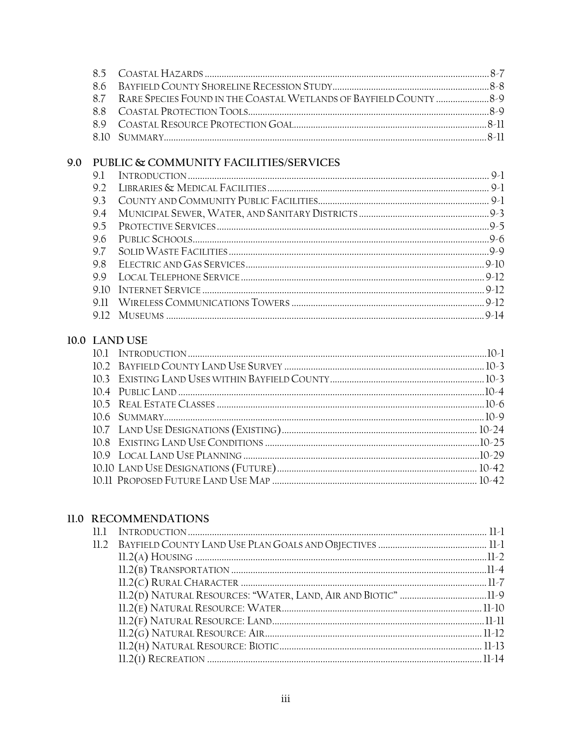|  | 8.7 RARE SPECIES FOUND IN THE COASTAL WETLANDS OF BAYFIELD COUNTY |  |
|--|-------------------------------------------------------------------|--|
|  |                                                                   |  |
|  |                                                                   |  |
|  |                                                                   |  |
|  |                                                                   |  |

# 9.0 PUBLIC & COMMUNITY FACILITIES/SERVICES

# 10.0 LAND USE

#### 11.0 RECOMMENDATIONS